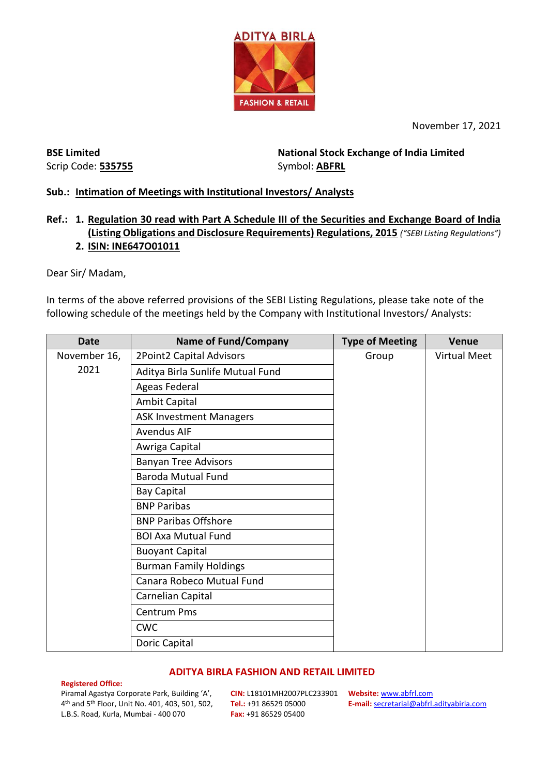

November 17, 2021

**BSE Limited** Scrip Code: **535755** **National Stock Exchange of India Limited**  Symbol: **ABFRL**

# **Sub.: Intimation of Meetings with Institutional Investors/ Analysts**

# **Ref.: 1. Regulation 30 read with Part A Schedule III of the Securities and Exchange Board of India (Listing Obligations and Disclosure Requirements) Regulations, 2015** *("SEBI Listing Regulations")* **2. ISIN: INE647O01011**

Dear Sir/ Madam,

In terms of the above referred provisions of the SEBI Listing Regulations, please take note of the following schedule of the meetings held by the Company with Institutional Investors/ Analysts:

| <b>Date</b>          | <b>Name of Fund/Company</b>      | <b>Type of Meeting</b> | <b>Venue</b>        |
|----------------------|----------------------------------|------------------------|---------------------|
| November 16,<br>2021 | 2Point2 Capital Advisors         | Group                  | <b>Virtual Meet</b> |
|                      | Aditya Birla Sunlife Mutual Fund |                        |                     |
|                      | Ageas Federal                    |                        |                     |
|                      | <b>Ambit Capital</b>             |                        |                     |
|                      | <b>ASK Investment Managers</b>   |                        |                     |
|                      | <b>Avendus AIF</b>               |                        |                     |
|                      | Awriga Capital                   |                        |                     |
|                      | <b>Banyan Tree Advisors</b>      |                        |                     |
|                      | <b>Baroda Mutual Fund</b>        |                        |                     |
|                      | <b>Bay Capital</b>               |                        |                     |
|                      | <b>BNP Paribas</b>               |                        |                     |
|                      | <b>BNP Paribas Offshore</b>      |                        |                     |
|                      | <b>BOI Axa Mutual Fund</b>       |                        |                     |
|                      | <b>Buoyant Capital</b>           |                        |                     |
|                      | <b>Burman Family Holdings</b>    |                        |                     |
|                      | Canara Robeco Mutual Fund        |                        |                     |
|                      | Carnelian Capital                |                        |                     |
|                      | <b>Centrum Pms</b>               |                        |                     |
|                      | <b>CWC</b>                       |                        |                     |
|                      | Doric Capital                    |                        |                     |

### **ADITYA BIRLA FASHION AND RETAIL LIMITED**

### **Registered Office:**

Piramal Agastya Corporate Park, Building 'A', 4 th and 5th Floor, Unit No. 401, 403, 501, 502, L.B.S. Road, Kurla, Mumbai - 400 070

**CIN:** L18101MH2007PLC233901 **Website:** [www.abfrl.com](http://www.abfrl.com/) **Tel.:** +91 86529 05000 **Fax:** +91 86529 05400

**E-mail:** [secretarial@abfrl.adityabirla.com](mailto:secretarial@abfrl.adityabirla.com)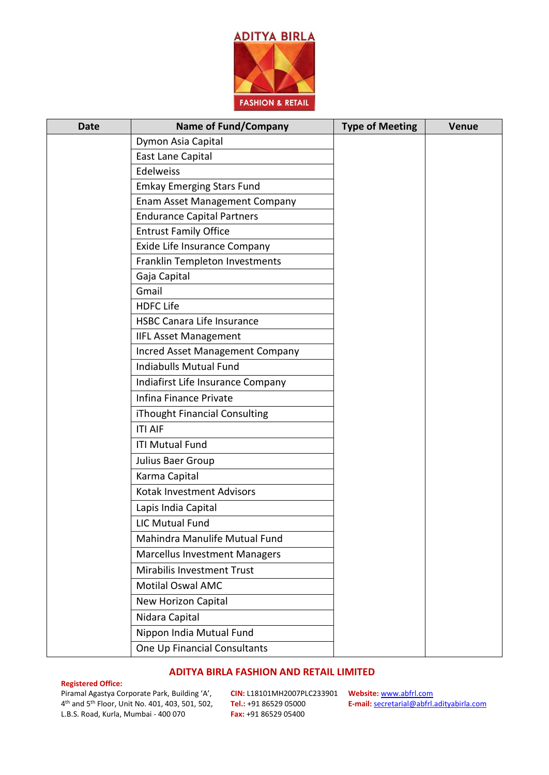

| <b>Date</b> | <b>Name of Fund/Company</b>          | <b>Type of Meeting</b> | <b>Venue</b> |
|-------------|--------------------------------------|------------------------|--------------|
|             | Dymon Asia Capital                   |                        |              |
|             | East Lane Capital                    |                        |              |
|             | <b>Edelweiss</b>                     |                        |              |
|             | <b>Emkay Emerging Stars Fund</b>     |                        |              |
|             | <b>Enam Asset Management Company</b> |                        |              |
|             | <b>Endurance Capital Partners</b>    |                        |              |
|             | <b>Entrust Family Office</b>         |                        |              |
|             | Exide Life Insurance Company         |                        |              |
|             | Franklin Templeton Investments       |                        |              |
|             | Gaja Capital                         |                        |              |
|             | Gmail                                |                        |              |
|             | <b>HDFC Life</b>                     |                        |              |
|             | <b>HSBC Canara Life Insurance</b>    |                        |              |
|             | <b>IIFL Asset Management</b>         |                        |              |
|             | Incred Asset Management Company      |                        |              |
|             | <b>Indiabulls Mutual Fund</b>        |                        |              |
|             | Indiafirst Life Insurance Company    |                        |              |
|             | Infina Finance Private               |                        |              |
|             | iThought Financial Consulting        |                        |              |
|             | <b>ITI AIF</b>                       |                        |              |
|             | <b>ITI Mutual Fund</b>               |                        |              |
|             | Julius Baer Group                    |                        |              |
|             | Karma Capital                        |                        |              |
|             | Kotak Investment Advisors            |                        |              |
|             | Lapis India Capital                  |                        |              |
|             | <b>LIC Mutual Fund</b>               |                        |              |
|             | Mahindra Manulife Mutual Fund        |                        |              |
|             | <b>Marcellus Investment Managers</b> |                        |              |
|             | Mirabilis Investment Trust           |                        |              |
|             | <b>Motilal Oswal AMC</b>             |                        |              |
|             | New Horizon Capital                  |                        |              |
|             | Nidara Capital                       |                        |              |
|             | Nippon India Mutual Fund             |                        |              |
|             | One Up Financial Consultants         |                        |              |

# **ADITYA BIRLA FASHION AND RETAIL LIMITED**

### **Registered Office:**

Piramal Agastya Corporate Park, Building 'A', 4 th and 5th Floor, Unit No. 401, 403, 501, 502, L.B.S. Road, Kurla, Mumbai - 400 070

**CIN:** L18101MH2007PLC233901 **Website:** [www.abfrl.com](http://www.abfrl.com/) **Tel.:** +91 86529 05000 **Fax:** +91 86529 05400

**E-mail:** [secretarial@abfrl.adityabirla.com](mailto:secretarial@abfrl.adityabirla.com)